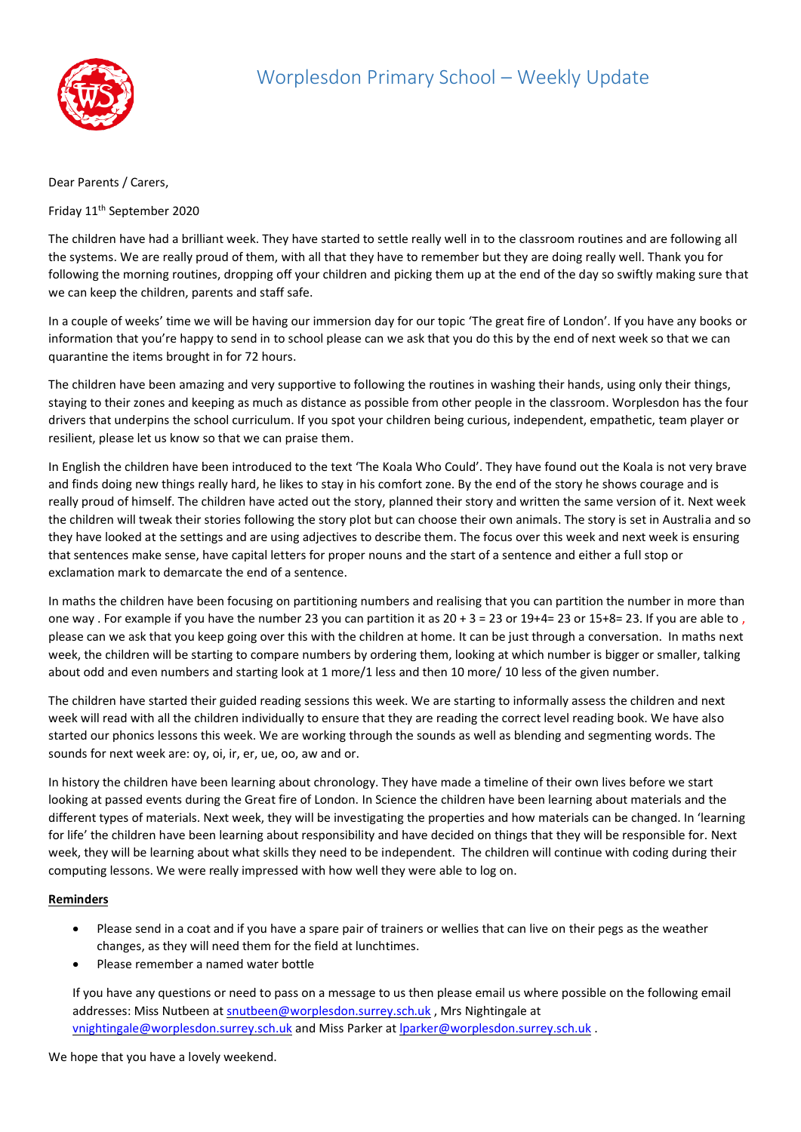

## Dear Parents / Carers,

Friday 11th September 2020

The children have had a brilliant week. They have started to settle really well in to the classroom routines and are following all the systems. We are really proud of them, with all that they have to remember but they are doing really well. Thank you for following the morning routines, dropping off your children and picking them up at the end of the day so swiftly making sure that we can keep the children, parents and staff safe.

In a couple of weeks' time we will be having our immersion day for our topic 'The great fire of London'. If you have any books or information that you're happy to send in to school please can we ask that you do this by the end of next week so that we can quarantine the items brought in for 72 hours.

The children have been amazing and very supportive to following the routines in washing their hands, using only their things, staying to their zones and keeping as much as distance as possible from other people in the classroom. Worplesdon has the four drivers that underpins the school curriculum. If you spot your children being curious, independent, empathetic, team player or resilient, please let us know so that we can praise them.

In English the children have been introduced to the text 'The Koala Who Could'. They have found out the Koala is not very brave and finds doing new things really hard, he likes to stay in his comfort zone. By the end of the story he shows courage and is really proud of himself. The children have acted out the story, planned their story and written the same version of it. Next week the children will tweak their stories following the story plot but can choose their own animals. The story is set in Australia and so they have looked at the settings and are using adjectives to describe them. The focus over this week and next week is ensuring that sentences make sense, have capital letters for proper nouns and the start of a sentence and either a full stop or exclamation mark to demarcate the end of a sentence.

In maths the children have been focusing on partitioning numbers and realising that you can partition the number in more than one way . For example if you have the number 23 you can partition it as  $20 + 3 = 23$  or  $19 + 4 = 23$  or  $15 + 8 = 23$ . If you are able to, please can we ask that you keep going over this with the children at home. It can be just through a conversation. In maths next week, the children will be starting to compare numbers by ordering them, looking at which number is bigger or smaller, talking about odd and even numbers and starting look at 1 more/1 less and then 10 more/ 10 less of the given number.

The children have started their guided reading sessions this week. We are starting to informally assess the children and next week will read with all the children individually to ensure that they are reading the correct level reading book. We have also started our phonics lessons this week. We are working through the sounds as well as blending and segmenting words. The sounds for next week are: oy, oi, ir, er, ue, oo, aw and or.

In history the children have been learning about chronology. They have made a timeline of their own lives before we start looking at passed events during the Great fire of London. In Science the children have been learning about materials and the different types of materials. Next week, they will be investigating the properties and how materials can be changed. In 'learning for life' the children have been learning about responsibility and have decided on things that they will be responsible for. Next week, they will be learning about what skills they need to be independent. The children will continue with coding during their computing lessons. We were really impressed with how well they were able to log on.

## **Reminders**

- Please send in a coat and if you have a spare pair of trainers or wellies that can live on their pegs as the weather changes, as they will need them for the field at lunchtimes.
- Please remember a named water bottle

If you have any questions or need to pass on a message to us then please email us where possible on the following email addresses: Miss Nutbeen a[t snutbeen@worplesdon.surrey.sch.uk](mailto:snutbeen@worplesdon.surrey.sch.uk) , Mrs Nightingale at [vnightingale@worplesdon.surrey.sch.uk](mailto:vnightingale@worplesdon.surrey.sch.uk) and Miss Parker at [lparker@worplesdon.surrey.sch.uk](mailto:lparker@worplesdon.surrey.sch.uk).

We hope that you have a lovely weekend.